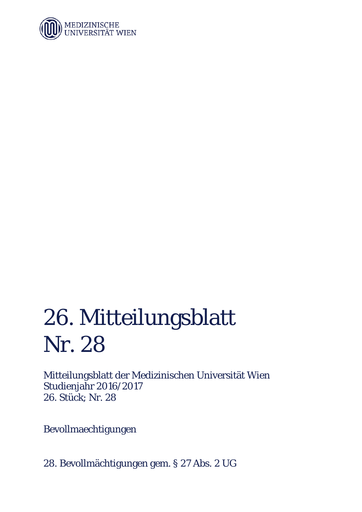

## 26. Mitteilungsblatt Nr. 28

Mitteilungsblatt der Medizinischen Universität Wien Studienjahr 2016/2017 26. Stück; Nr. 28

Bevollmaechtigungen

28. Bevollmächtigungen gem. § 27 Abs. 2 UG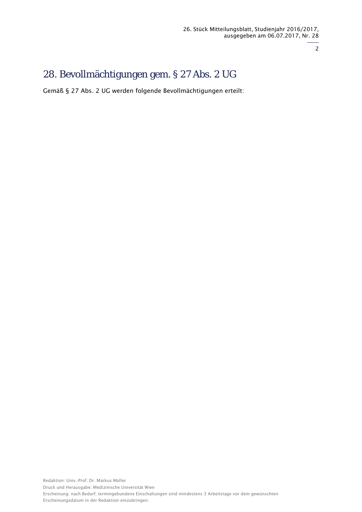2

## 28. Bevollmächtigungen gem. § 27 Abs. 2 UG

Gemäß § 27 Abs. 2 UG werden folgende Bevollmächtigungen erteilt: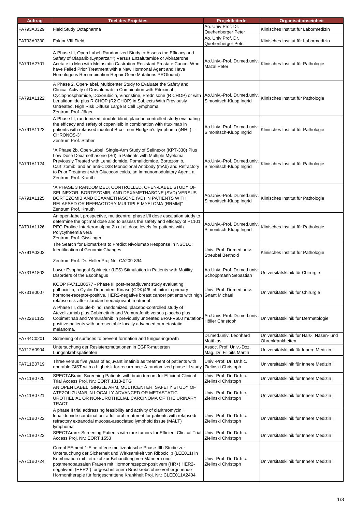| <b>Auftrag</b> | <b>Titel des Projektes</b>                                                                                                                                                                                                                                                                                                                                                                                             | ProjektleiterIn                                        | <b>Organisationseinheit</b>                                  |
|----------------|------------------------------------------------------------------------------------------------------------------------------------------------------------------------------------------------------------------------------------------------------------------------------------------------------------------------------------------------------------------------------------------------------------------------|--------------------------------------------------------|--------------------------------------------------------------|
| FA793A0329     | Field Study Octapharma                                                                                                                                                                                                                                                                                                                                                                                                 | Ao. Univ.Prof. Dr.<br>Quehenberger Peter               | Klinisches Institut für Labormedizin                         |
| FA793A0330     | Faktor VIII Field                                                                                                                                                                                                                                                                                                                                                                                                      | Ao. Univ.Prof. Dr.<br>Quehenberger Peter               | Klinisches Institut für Labormedizin                         |
| FA791A2701     | A Phase III, Open Label, Randomized Study to Assess the Efficacy and<br>Safety of Olaparib (Lynparza™) Versus Enzalutamide or Abiraterone<br>Acetate in Men with Metastatic Castration-Resistant Prostate Cancer Who<br>have Failed Prior Treatment with a New Hormonal Agent and Have<br>Homologous Recombination Repair Gene Mutations PROfound)                                                                     | Ao.Univ.-Prof. Dr.med.univ.<br><b>Mazal Peter</b>      | Klinisches Institut für Pathologie                           |
| FA791A1122     | A Phase 2, Open-label, Multicenter Study to Evaluate the Safety and<br>Clinical Activity of Durvalumab in Combination with Rituximab,<br>Cyclophosphamide, Doxorubicin, Vincristine, Prednisone (R CHOP) or with<br>Lenalidomide plus R CHOP (R2 CHOP) in Subjects With Previously<br>Untreated, High Risk Diffuse Large B Cell Lymphoma<br>Zentrum Prof. Jäger                                                        | Ao.Univ.-Prof. Dr.med.univ.<br>Simonitsch-Klupp Ingrid | Klinisches Institut für Pathologie                           |
| FA791A1123     | A Phase III, randomized, double-blind, placebo-controlled study evaluating<br>the efficacy and safety of copanlisib in combination with rituximab in<br>patients with relapsed indolent B-cell non-Hodgkin's lymphoma (iNHL) -<br>CHRONOS-3"<br>Zentrum Prof. Staber                                                                                                                                                   | Ao.Univ.-Prof. Dr.med.univ.<br>Simonitsch-Klupp Ingrid | Klinisches Institut für Pathologie                           |
| FA791A1124     | 'A Phase 2b, Open-Label, Single-Arm Study of Selinexor (KPT-330) Plus<br>Low-Dose Dexamethasone (Sd) in Patients with Multiple Myeloma<br>Previously Treated with Lenalidomide, Pomalidomide, Bortezomib,<br>Carfilzomib, and an anti-CD38 Monoclonal Antibody (mAb) and Refractory<br>to Prior Treatment with Glucocorticoids, an Immunomodulatory Agent, a<br>Zentrum Prof. Krauth                                   | Ao.Univ.-Prof. Dr.med.univ.<br>Simonitsch-Klupp Ingrid | Klinisches Institut für Pathologie                           |
| FA791A1125     | "A PHASE 3 RANDOMIZED, CONTROLLED, OPEN-LABEL STUDY OF<br>SELINEXOR, BORTEZOMIB, AND DEXAMETHASONE (SVD) VERSUS<br>BORTEZOMIB AND DEXAMETHASONE (VD) IN PATIENTS WITH<br>RELAPSED OR REFRACTORY MULTIPLE MYELOMA (RRMM)"<br>Zentrum Prof. Krauth                                                                                                                                                                       | Ao.Univ.-Prof. Dr.med.univ.<br>Simonitsch-Klupp Ingrid | Klinisches Institut für Pathologie                           |
| FA791A1126     | An open-label, prospective, multicentre, phase I/II dose escalation study to<br>determine the optimal dose and to assess the safety and efficacy of P1101<br>PEG-Proline-Interferon alpha-2b at all dose levels for patients with<br>Polycythaemia vera<br>Zentrum Prof. Gisslinger                                                                                                                                    | Ao.Univ.-Prof. Dr.med.univ.<br>Simonitsch-Klupp Ingrid | Klinisches Institut für Pathologie                           |
| FA791A0303     | The Search for Biomarkers to Predict Nivolumab Response in NSCLC:<br>Identification of Genomic Changes<br>Zentrum Prof. Dr. Heller Proj.Nr.: CA209-894                                                                                                                                                                                                                                                                 | Univ.-Prof. Dr.med.univ.<br><b>Streubel Berthold</b>   | Klinisches Institut für Pathologie                           |
| FA731B1802     | Lower Esophageal Sphincter (LES) Stimulation in Patients with Motility<br>Disorders of the Esophagus                                                                                                                                                                                                                                                                                                                   | Ao.Univ.-Prof. Dr.med.univ.<br>Schoppmann Sebastian    | Universitätsklinik für Chirurgie                             |
| FK731B0007     | KOOP FA711B0577 - Phase III post-neoadjuvant study evaluating<br>palbociclib, a Cyclin-Dependent Kinase (CDK)4/6 inhibitor in primary<br>hormone-receptor-positive, HER2-negative breast cancer patients with high Gnant Michael<br>relapse risk after standard neoadjuvant treatment                                                                                                                                  | Univ.-Prof. Dr.med.univ.                               | Universitätsklinik für Chirurgie                             |
| FA722B1123     | A Phase III, double-blind, randomized, placebo-controlled study of<br>Atezolizumab plus Cobimetinib and Vemurafenib versus placebo plus<br>Cobimetinab and Vemurafenib in previously untreated BRAFV600 mutation<br>positive patients with unresectable locally advanced or metastatic<br>melanoma.                                                                                                                    | Ao.Univ.-Prof. Dr.med.univ.<br>Höller Christoph        | Universitätsklinik für Dermatologie                          |
| FA744C0201     | Screening of surfaces to prevent formation and fungus-ingrowth                                                                                                                                                                                                                                                                                                                                                         | Dr.med.univ. Leonhard<br>Matthias                      | Universitätsklinik für Hals-, Nasen- und<br>Ohrenkrankheiten |
| FA712A0904     | Untersuchung der Resistenzmutationen in EGFR-mutierten<br>Lungenkrebspatienten                                                                                                                                                                                                                                                                                                                                         | Assoc. Prof. Univ.-Doz.<br>Mag. Dr. Filipits Martin    | Universitätsklinik für Innere Medizin I                      |
| FA711B0719     | Three versus five years of adjuvant imatinib as treatment of patients with<br>operable GIST with a high risk for recurrence: A randomized phase III study                                                                                                                                                                                                                                                              | Univ.-Prof. Dr. Dr.h.c.<br>Zielinski Christoph         | Universitätsklinik für Innere Medizin I                      |
| FA711B0720     | SPECTABrain: Screening Patients with brain tumors for Efficient Clinical<br>Trial Access Proj. Nr.: EORT 1313-BTG                                                                                                                                                                                                                                                                                                      | Univ.-Prof. Dr. Dr.h.c.<br>Zielinski Christoph         | Universitätsklinik für Innere Medizin I                      |
| FA711B0721     | AN OPEN LABEL, SINGLE ARM, MULTICENTER, SAFETY STUDY OF<br>ATEZOLIZUMAB IN LOCALLY ADVANCED OR METASTATIC<br>UROTHELIAL OR NON-UROTHELIAL CARCINOMA OF THE URINARY<br>TRACT                                                                                                                                                                                                                                            | Univ.-Prof. Dr. Dr.h.c.<br>Zielinski Christoph         | Universitätsklinik für Innere Medizin I                      |
| FA711B0722     | A phase II trial addressing feasibility and activity of clarithromycin +<br>lenalidomide combination: a full oral treatment for patients with relapsed/<br>refractory extranodal mucosa-associated lymphoid tissue (MALT)<br>lymphoma                                                                                                                                                                                  | Univ.-Prof. Dr. Dr.h.c.<br>Zielinski Christoph         | Universitätsklinik für Innere Medizin I                      |
| FA711B0723     | SPECTArare: Screening Patients with rare tumors for Efficient Clinical Trial<br>Access Proj. Nr.: EORT 1553                                                                                                                                                                                                                                                                                                            | Univ.-Prof. Dr. Dr.h.c.<br>Zielinski Christoph         | Universitätsklinik für Innere Medizin I                      |
| FA711B0724     | CompLEEment-1:Eine offene multizentrische Phase-IIIb-Studie zur<br>Untersuchung der Sicherheit und Wirksamkeit von Ribociclib (LEE011) in<br>Kombination mit Letrozol zur Behandlung von Männern und<br>postmenopausalen Frauen mit Hormonrezeptor-positivem (HR+) HER2-<br>negativem (HER2-) fortgeschrittenem Brustkrebs ohne vorhergehende<br>Hormontherapie für fortgeschrittene Krankheit Proj. Nr.: CLEE011A2404 | Univ.-Prof. Dr. Dr.h.c.<br>Zielinski Christoph         | Universitätsklinik für Innere Medizin I                      |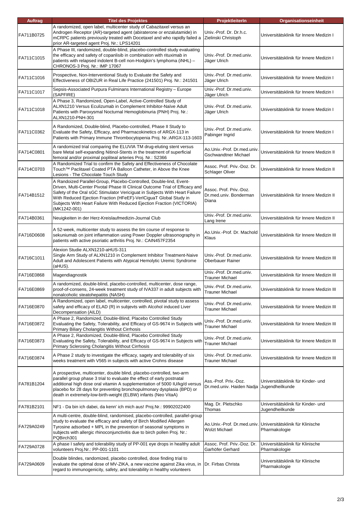| <b>Auftrag</b> | <b>Titel des Projektes</b>                                                                                                                                                                                                                                                                                                                                                                        | ProjektleiterIn                                            | Organisationseinheit                                  |
|----------------|---------------------------------------------------------------------------------------------------------------------------------------------------------------------------------------------------------------------------------------------------------------------------------------------------------------------------------------------------------------------------------------------------|------------------------------------------------------------|-------------------------------------------------------|
| FA711B0725     | A randomized, open label, multicenter study of Cabazitaxel versus an<br>Androgen Receptor (AR)-targeted agent (abiraterone or enzalutamide) in<br>mCRPC patients previously treated with Docetaxel and who rapidly failed a<br>prior AR-targeted agent Proj. Nr.: LPS14201                                                                                                                        | Univ.-Prof. Dr. Dr.h.c.<br>Zielinski Christoph             | Universitätsklinik für Innere Medizin I               |
| FA711C1015     | A Phase III, randomized, double-blind, placebo-controlled study evaluating<br>the efficacy and safety of copanlisib in combination with rituximab in<br>patients with relapsed indolent B-cell non-Hodgkin's lymphoma (iNHL) -<br>CHRONOS-3 Proj. Nr.: IMP 17067                                                                                                                                  | Univ.-Prof. Dr.med.univ.<br>Jäger Ulrich                   | Universitätsklinik für Innere Medizin I               |
| FA711C1016     | Prospective, Non-Interventional Study to Evaluate the Safety and<br>Effectiveness of OBIZUR in Real Life Practice (241501) Proj. Nr.: 241501                                                                                                                                                                                                                                                      | Univ.-Prof. Dr.med.univ.<br>Jäger Ulrich                   | Universitätsklinik für Innere Medizin I               |
| FA711C1017     | Sepsis-Associated Purpura Fulminans International Registry - Europe<br>(SAPFIRE)                                                                                                                                                                                                                                                                                                                  | Univ.-Prof. Dr.med.univ.<br>Jäger Ulrich                   | Universitätsklinik für Innere Medizin I               |
| FA711C1018     | A Phase 3, Randomized, Open-Label, Active-Controlled Study of<br>ALXN1210 Versus Eculizumab in Complement Inhibitor-Naïve Adult<br>Patients with Paroxysmal Nocturnal Hemoglobinuria (PNH) Proj. Nr.:<br>ALXN1210-PNH-301                                                                                                                                                                         | Univ.-Prof. Dr.med.univ.<br>Jäger Ulrich                   | Universitätsklinik für Innere Medizin I               |
| FA711C0362     | A Randomized, Double-blind, Placebo-controlled, Phase II Study to<br>Evaluate the Safety, Efficacy, and Pharmacokinetics of ARGX-113 in<br>Patients with Primary Immune Thrombocytopenia Proj. Nr.:ARGX-113-1603                                                                                                                                                                                  | Univ.-Prof. Dr.med.univ.<br>Pabinger Ingrid                | Universitätsklinik für Innere Medizin I               |
| FA714C0801     | A randomized trial comparing the ELUVIA TM drug-eluting stent versus<br>bare Metal self-expanding Nitinol-Stents in the treatment of superficial<br>femoral and/or proximal popliteal arteries Proj. Nr.: S2366                                                                                                                                                                                   | Ao.Univ.-Prof. Dr.med.univ.<br>Gschwandtner Michael        | Universitätsklinik für Innere Medizin II              |
| FA714C0703     | A Randomized Trial to confirm the Safety and Effectiveness of Chocolate<br>Touch™ Paclitaxel Coated PTA Balloon Catheter, in Above the Knee<br>Lesions - The Chocolate Touch Study                                                                                                                                                                                                                | Assoc. Prof. Priv.-Doz. Dr.<br><b>Schlager Oliver</b>      | Universitätsklinik für Innere Medizin II              |
| FA714B1512     | A Randoized Parallel-Group, Placebo-Controlled, Double-lind, Event-<br>Driven, Multi-Center Pivotal Phase III Clinical Outcome Trial of Efficacy and<br>Safety of the Oral sGC Stimulator Vericiquat in Subjects With Heart Failure<br>With Reduced Ejection Fraction (HFeEF)-VerlCiguaT Global Study in<br>Subjects With Heart Failure With Reduced Ejection Fraction (VICTORIA)<br>(MK1242-001) | Assoc. Prof. Priv.-Doz.<br>Dr.med.univ. Bonderman<br>Diana | Universitätsklinik für Innere Medizin II              |
| FA714B0361     | Neuigkeiten in der Herz-Kreislaufmedizin-Journal Club                                                                                                                                                                                                                                                                                                                                             | Univ.-Prof. Dr.med.univ.<br>Lang Irene                     | Universitätsklinik für Innere Medizin II              |
| FA716D0608     | A 52-week, multicenter study to assess the tim course of response to<br>sekuniumab on joint inflammation using Power Doppler ultrasonography in<br>patients with active psoriatic arthritis Proj. Nr.: CAIN457F2354                                                                                                                                                                               | Ao.Univ.-Prof. Dr. Machold<br>Klaus                        | Universitätsklinik für Innere Medizin III             |
| FA716C1011     | Alexion Studie ALXN1210-aHUS-311<br>Single Arm Study of ALXN1210 in Complement Inhibitor Treatment-Naive<br>Adult and Adolescent Patients with Atypical Hemolytic Uremic Syndrome<br>(aHUS).                                                                                                                                                                                                      | Univ.-Prof. Dr.med.univ.<br>Oberbauer Rainer               | Universitätsklinik für Innere Medizin III             |
| FA716E0868     | Magendiagnostik                                                                                                                                                                                                                                                                                                                                                                                   | Univ.-Prof. Dr.med.univ.<br><b>Trauner Michael</b>         | Universitätsklinik für Innere Medizin III             |
| FA716E0869     | A randomized, double-blind, placebo-controlled, multicenter, dose range,<br>proof-of-consens, 24-week treatment study of IVA337 in adult subiects with<br>nonalcoholic steatohepatitis (NASH)                                                                                                                                                                                                     | Univ.-Prof. Dr.med.univ.<br>Trauner Michael                | Universitätsklinik für Innere Medizin III             |
| FA716E0870     | A Randomized, open label, multicenter, controlled, pivotal study to assess<br>safety and efficacy of ELAD (R) in subjevts with Alcohol induced Liver<br>Decompensation (AILD)                                                                                                                                                                                                                     | Univ.-Prof. Dr.med.univ.<br><b>Trauner Michael</b>         | Universitätsklinik für Innere Medizin III             |
| FA716E0872     | A Phase 2, Randomized, Double-Blind, Placebo Controlled Study<br>Evaluating the Safety, Tolerability, and Efficacy of GS-9674 in Subjects with<br>Primary Biliary Cholangitis Without Cirrhosis                                                                                                                                                                                                   | Univ.-Prof. Dr.med.univ.<br><b>Trauner Michael</b>         | Universitätsklinik für Innere Medizin III             |
| FA716E0873     | A Phase 2, Randomized, Double-Blind, Placebo Controlled Study<br>Evaluating the Safety, Tolerability, and Efficacy of GS-9674 in Subjects with<br>Primary Sclerosing Cholangitis Without Cirrhosis                                                                                                                                                                                                | Univ.-Prof. Dr.med.univ.<br><b>Trauner Michael</b>         | Universitätsklinik für Innere Medizin III             |
| FA716E0874     | A Phase 2 study to investigate the efficacy, sagety and tolerability of six<br>weeks treatment with V565 in subjects with active Crohns disease                                                                                                                                                                                                                                                   | Univ.-Prof. Dr.med.univ.<br>Trauner Michael                | Universitätsklinik für Innere Medizin III             |
| FA781B1204     | A prospective, multicenter, double blind, placebo-controlled, two-arm<br>parallel group phase 3 trial to evaluate the effect of early postnatal<br>additional high dose oral vitamin A supplementation of 5000 IU/kg/d versus<br>placebo for 28 days for preventing bronchopulmonary dysplasia (BPD) or<br>death in extremely-low-birth-weight (ELBW) infants (Neo VitaA)                         | Ass.-Prof. Priv.-Doz.<br>Dr.med.univ. Haiden Nadja         | Universitätsklinik für Kinder- und<br>Jugendheilkunde |
| FA781B2101     | NF1 - Da bin ich dabei, da kenn' ich mich aus! Proj.Nr.: 99902022400                                                                                                                                                                                                                                                                                                                              | Mag. Dr. Pletschko<br>Thomas                               | Universitätsklinik für Kinder- und<br>Jugendheilkunde |
| FA729A0249     | A multi-centre, double-blind, randomised, placebo-controlled, parallel-group<br>study to evaluate the efficacy and safety of Birch Modified Allergen<br>Tyrosine adsorbed + MPL in the prevention of seasonal symptoms in<br>subjects with allergic rhinoconjunctivitis due to birch pollen Proj. Nr.:<br>PQBirch301                                                                              | Ao.Univ.-Prof. Dr.med.univ.<br>Wolzt Michael               | Universitätsklinik für Klinische<br>Pharmakologie     |
| FA729A0728     | A phase I safety and tolerability study of PP-001 eye drops in healthy adult<br>volunteers Proj.Nr.: PP-001-1101                                                                                                                                                                                                                                                                                  | Assoc. Prof. Priv.-Doz. Dr.<br>Garhöfer Gerhard            | Universitätsklinik für Klinische<br>Pharmakologie     |
| FA729A0609     | Double blindes, randomized, placebo controlled, dose finding trial to<br>evaluate the optimal dose of MV-ZIKA, a new vaccine against Zika virus, in<br>regard to immunogenicity, safety, and tolerability in healthy volunteers                                                                                                                                                                   | Dr. Firbas Christa                                         | Universitätsklinik für Klinische<br>Pharmakologie     |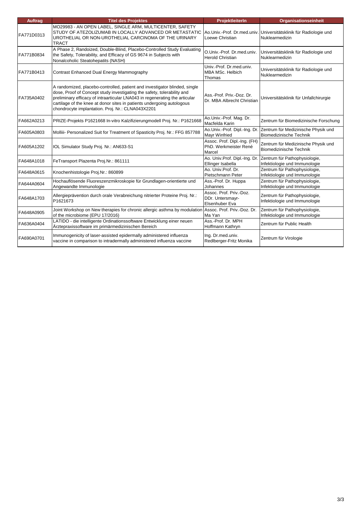| <b>Auftrag</b> | <b>Titel des Projektes</b>                                                                                                                                                                                                                                                                                                                                          | ProjektleiterIn                                                 | Organisationseinheit                                                                                |
|----------------|---------------------------------------------------------------------------------------------------------------------------------------------------------------------------------------------------------------------------------------------------------------------------------------------------------------------------------------------------------------------|-----------------------------------------------------------------|-----------------------------------------------------------------------------------------------------|
| FA771D0313     | MO29983 - AN OPEN LABEL, SINGLE ARM, MULTICENTER, SAFETY<br>STUDY OF ATEZOLIZUMAB IN LOCALLY ADVANCED OR METASTATIC<br>UROTHELIAL OR NON-UROTHELIAL CARCINOMA OF THE URINARY<br><b>TRACT</b>                                                                                                                                                                        | Loewe Christian                                                 | Ao.Univ.-Prof. Dr.med.univ. Universitätsklinik für Radiologie und<br>Nuklearmedizin                 |
| FA771B0834     | A Phase 2, Randoized, Double-Blind, Placebo-Controlled Study Evaluating<br>the Safety, Tolerability, and Efficacy of GS 9674 in Subjects with<br>Nonalcoholic Steatohepatits (NASH)                                                                                                                                                                                 | O.Univ.-Prof. Dr.med.univ.<br><b>Herold Christian</b>           | Universitätsklinik für Radiologie und<br>Nuklearmedizin                                             |
| FA771B0413     | Contrast Enhanced Dual Energy Mammography                                                                                                                                                                                                                                                                                                                           | Univ.-Prof. Dr.med.univ.<br>MBA MSc. Helbich<br>Thomas          | Universitätsklinik für Radiologie und<br>Nuklearmedizin                                             |
| FA735A0402     | A randomized, placebo-controlled, patient and investigator blinded, single<br>dose, Proof of Concept study investigating the safety, tolerability and<br>preliminary efficacy of intraarticular LNA043 in regenerating the articular<br>cartilage of the knee at donor sites in patients undergoing autologous<br>chondrocyte implantation. Proj. Nr.: CLNA043X2201 | Ass.-Prof. Priv.-Doz. Dr.<br>Dr. MBA Albrecht Christian         | Universitätsklinik für Unfallchirurgie                                                              |
| FA662A0213     | PRIZE-Projekts P1621668 In-vitro Kalzifizierungmodell Proj. Nr.: P1621668                                                                                                                                                                                                                                                                                           | Ao.Univ.-Prof. Mag. Dr.<br>Macfelda Karin                       | Zentrum für Biomedizinische Forschung                                                               |
| FA605A0803     | Molliii- Personalized Suit for Treatment of Spasticity Proj. Nr.: FFG 857788                                                                                                                                                                                                                                                                                        | <b>Mayr Winfried</b>                                            | Ao.Univ.-Prof. Dipl.-Ing. Dr. Zentrum für Medizinische Physik und<br><b>Biomedizinische Technik</b> |
| FA605A1202     | IOL Simulator Study Proj. Nr.: AN633-S1                                                                                                                                                                                                                                                                                                                             | Assoc. Prof. Dipl.-Ing. (FH)<br>PhD. Werkmeister René<br>Marcel | Zentrum für Medizinische Physik und<br><b>Biomedizinische Technik</b>                               |
| FA648A1018     | FeTransport Plazenta Proj.Nr.: 861111                                                                                                                                                                                                                                                                                                                               | Ao. Univ.Prof. Dipl.-Ing. Dr.<br>Ellinger Isabella              | Zentrum für Pathophysiologie,<br>Infektiologie und Immunologie                                      |
| FA648A0615     | Knochenhistologie Proj.Nr.: 860899                                                                                                                                                                                                                                                                                                                                  | Ao. Univ.Prof. Dr.<br>Pietschmann Peter                         | Zentrum für Pathophysiologie,<br>Infektiologie und Immunologie                                      |
| FA644A0604     | Hochauflösende Fluoreszenzmikroskopie für Grundlagen-orientierte und<br>Angewandte Immunologie                                                                                                                                                                                                                                                                      | Ass.-Prof. Dr. Huppa<br>Johannes                                | Zentrum für Pathophysiologie,<br>Infektiologie und Immunologie                                      |
| FA648A1703     | Allergieprävention durch orale Verabreichung nitrierter Proteine Proj. Nr.:<br>P1621673                                                                                                                                                                                                                                                                             | Assoc. Prof. Priv.-Doz.<br>DDr. Untersmayr-<br>Elsenhuber Eva   | Zentrum für Pathophysiologie,<br>Infektiologie und Immunologie                                      |
| FA648A0905     | Joint Workshop on New therapies for chronic allergic asthma by modulation<br>of the microbiome (EPU 17/2016)                                                                                                                                                                                                                                                        | Assoc. Prof. Priv.-Doz. Dr.<br>Ma Yan                           | Zentrum für Pathophysiologie,<br>Infektiologie und Immunologie                                      |
| FA636A0404     | LATIDO - die intelligente Ordinationssoftware Entwicklung einer neuen<br>Ärztepraxissoftware im primärmedizinischen Bereich                                                                                                                                                                                                                                         | Ass.-Prof. Dr. MPH<br>Hoffmann Kathryn                          | Zentrum für Public Health                                                                           |
| FA690A0701     | Immunogenicity of laser-assisted epidermally administered influenza<br>vaccine in comparison to intradermally administered influenza vaccine                                                                                                                                                                                                                        | Ing. Dr.med.univ.<br>Redlberger-Fritz Monika                    | Zentrum für Virologie                                                                               |